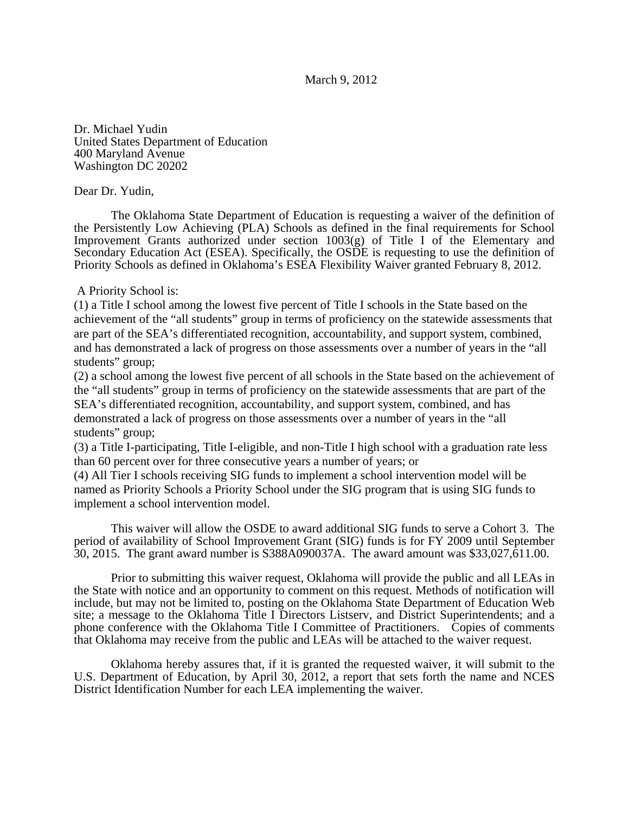## March 9, 2012

Dr. Michael Yudin United States Department of Education 400 Maryland Avenue Washington DC 20202

## Dear Dr. Yudin,

The Oklahoma State Department of Education is requesting a waiver of the definition of the Persistently Low Achieving (PLA) Schools as defined in the final requirements for School Improvement Grants authorized under section 1003(g) of Title I of the Elementary and Secondary Education Act (ESEA). Specifically, the OSDE is requesting to use the definition of Priority Schools as defined in Oklahoma's ESEA Flexibility Waiver granted February 8, 2012.

## A Priority School is:

(1) a Title I school among the lowest five percent of Title I schools in the State based on the achievement of the "all students" group in terms of proficiency on the statewide assessments that are part of the SEA's differentiated recognition, accountability, and support system, combined, and has demonstrated a lack of progress on those assessments over a number of years in the "all students" group;

(2) a school among the lowest five percent of all schools in the State based on the achievement of the "all students" group in terms of proficiency on the statewide assessments that are part of the SEA's differentiated recognition, accountability, and support system, combined, and has demonstrated a lack of progress on those assessments over a number of years in the "all students" group;

(3) a Title I-participating, Title I-eligible, and non-Title I high school with a graduation rate less than 60 percent over for three consecutive years a number of years; or

(4) All Tier I schools receiving SIG funds to implement a school intervention model will be named as Priority Schools a Priority School under the SIG program that is using SIG funds to implement a school intervention model.

This waiver will allow the OSDE to award additional SIG funds to serve a Cohort 3. The period of availability of School Improvement Grant (SIG) funds is for FY 2009 until September 30, 2015. The grant award number is S388A090037A. The award amount was \$33,027,611.00.

Prior to submitting this waiver request, Oklahoma will provide the public and all LEAs in the State with notice and an opportunity to comment on this request. Methods of notification will include, but may not be limited to, posting on the Oklahoma State Department of Education Web site; a message to the Oklahoma Title I Directors Listserv, and District Superintendents; and a phone conference with the Oklahoma Title I Committee of Practitioners. Copies of comments that Oklahoma may receive from the public and LEAs will be attached to the waiver request.

Oklahoma hereby assures that, if it is granted the requested waiver, it will submit to the U.S. Department of Education, by April 30, 2012, a report that sets forth the name and NCES District Identification Number for each LEA implementing the waiver.